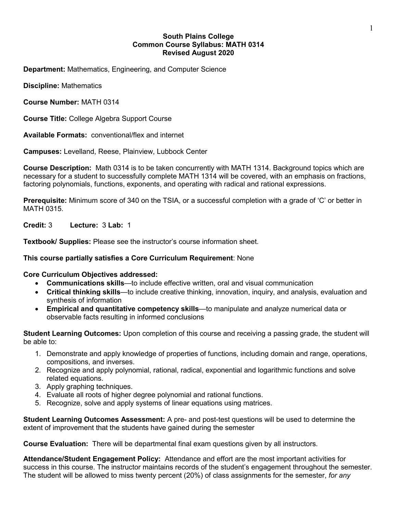### **South Plains College Common Course Syllabus: MATH 0314 Revised August 2020**

**Department:** Mathematics, Engineering, and Computer Science

**Discipline:** Mathematics

**Course Number:** MATH 0314

**Course Title:** College Algebra Support Course

**Available Formats:** conventional/flex and internet

**Campuses:** Levelland, Reese, Plainview, Lubbock Center

**Course Description:** Math 0314 is to be taken concurrently with MATH 1314. Background topics which are necessary for a student to successfully complete MATH 1314 will be covered, with an emphasis on fractions, factoring polynomials, functions, exponents, and operating with radical and rational expressions.

**Prerequisite:** Minimum score of 340 on the TSIA, or a successful completion with a grade of 'C' or better in MATH 0315.

**Credit:** 3 **Lecture:** 3 **Lab:** 1

**Textbook/ Supplies:** Please see the instructor's course information sheet.

## **This course partially satisfies a Core Curriculum Requirement**: None

**Core Curriculum Objectives addressed:**

- **Communications skills**—to include effective written, oral and visual communication
- **Critical thinking skills**—to include creative thinking, innovation, inquiry, and analysis, evaluation and synthesis of information
- **Empirical and quantitative competency skills**—to manipulate and analyze numerical data or observable facts resulting in informed conclusions

**Student Learning Outcomes:** Upon completion of this course and receiving a passing grade, the student will be able to:

- 1. Demonstrate and apply knowledge of properties of functions, including domain and range, operations, compositions, and inverses.
- 2. Recognize and apply polynomial, rational, radical, exponential and logarithmic functions and solve related equations.
- 3. Apply graphing techniques.
- 4. Evaluate all roots of higher degree polynomial and rational functions.
- 5. Recognize, solve and apply systems of linear equations using matrices.

**Student Learning Outcomes Assessment:** A pre- and post-test questions will be used to determine the extent of improvement that the students have gained during the semester

**Course Evaluation:** There will be departmental final exam questions given by all instructors.

**Attendance/Student Engagement Policy:** Attendance and effort are the most important activities for success in this course. The instructor maintains records of the student's engagement throughout the semester. The student will be allowed to miss twenty percent (20%) of class assignments for the semester, *for any*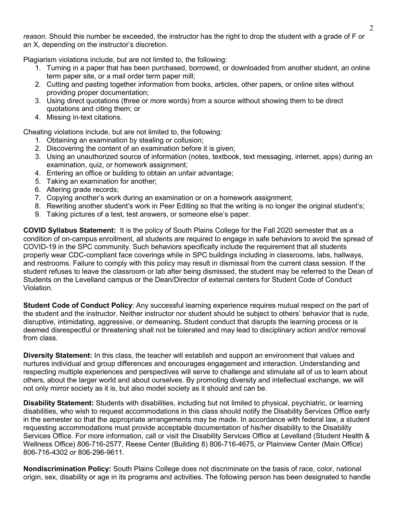*reason*. Should this number be exceeded, the instructor has the right to drop the student with a grade of F or an X, depending on the instructor's discretion.

Plagiarism violations include, but are not limited to, the following:

- 1. Turning in a paper that has been purchased, borrowed, or downloaded from another student, an online term paper site, or a mail order term paper mill;
- 2. Cutting and pasting together information from books, articles, other papers, or online sites without providing proper documentation;
- 3. Using direct quotations (three or more words) from a source without showing them to be direct quotations and citing them; or
- 4. Missing in-text citations.

Cheating violations include, but are not limited to, the following:

- 1. Obtaining an examination by stealing or collusion;
- 2. Discovering the content of an examination before it is given;
- 3. Using an unauthorized source of information (notes, textbook, text messaging, internet, apps) during an examination, quiz, or homework assignment;
- 4. Entering an office or building to obtain an unfair advantage;
- 5. Taking an examination for another;
- 6. Altering grade records;
- 7. Copying another's work during an examination or on a homework assignment;
- 8. Rewriting another student's work in Peer Editing so that the writing is no longer the original student's;
- 9. Taking pictures of a test, test answers, or someone else's paper.

**COVID Syllabus Statement:** It is the policy of South Plains College for the Fall 2020 semester that as a condition of on-campus enrollment, all students are required to engage in safe behaviors to avoid the spread of COVID-19 in the SPC community. Such behaviors specifically include the requirement that all students properly wear CDC-compliant face coverings while in SPC buildings including in classrooms, labs, hallways, and restrooms. Failure to comply with this policy may result in dismissal from the current class session. If the student refuses to leave the classroom or lab after being dismissed, the student may be referred to the Dean of Students on the Levelland campus or the Dean/Director of external centers for Student Code of Conduct Violation.

**Student Code of Conduct Policy**: Any successful learning experience requires mutual respect on the part of the student and the instructor. Neither instructor nor student should be subject to others' behavior that is rude, disruptive, intimidating, aggressive, or demeaning**.** Student conduct that disrupts the learning process or is deemed disrespectful or threatening shall not be tolerated and may lead to disciplinary action and/or removal from class.

**Diversity Statement:** In this class, the teacher will establish and support an environment that values and nurtures individual and group differences and encourages engagement and interaction. Understanding and respecting multiple experiences and perspectives will serve to challenge and stimulate all of us to learn about others, about the larger world and about ourselves. By promoting diversity and intellectual exchange, we will not only mirror society as it is, but also model society as it should and can be.

**Disability Statement:** Students with disabilities, including but not limited to physical, psychiatric, or learning disabilities, who wish to request accommodations in this class should notify the Disability Services Office early in the semester so that the appropriate arrangements may be made. In accordance with federal law, a student requesting accommodations must provide acceptable documentation of his/her disability to the Disability Services Office. For more information, call or visit the Disability Services Office at Levelland (Student Health & Wellness Office) 806-716-2577, Reese Center (Building 8) 806-716-4675, or Plainview Center (Main Office) 806-716-4302 or 806-296-9611.

**Nondiscrimination Policy:** South Plains College does not discriminate on the basis of race, color, national origin, sex, disability or age in its programs and activities. The following person has been designated to handle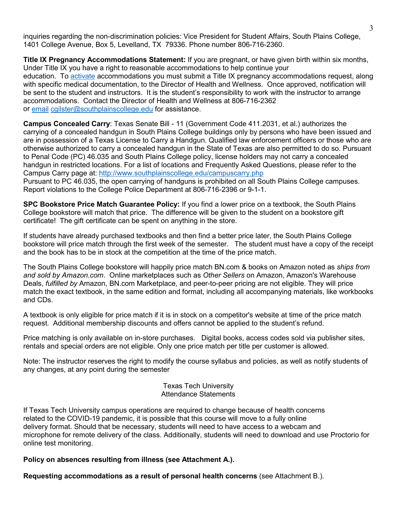inquiries regarding the non-discrimination policies: Vice President for Student Affairs, South Plains College, 1401 College Avenue, Box 5, Levelland, TX 79336. Phone number 806-716-2360.

**Title IX Pregnancy Accommodations Statement:** If you are pregnant, or have given birth within six months, Under Title IX you have a right to reasonable accommodations to help continue your education. To [activate](http://www.southplainscollege.edu/employees/manualshandbooks/facultyhandbook/sec4.php) accommodations you must submit a Title IX pregnancy accommodations request, along with specific medical documentation, to the Director of Health and Wellness. Once approved, notification will be sent to the student and instructors. It is the student's responsibility to work with the instructor to arrange accommodations. Contact the Director of Health and Wellness at 806-716-2362 or [email](http://www.southplainscollege.edu/employees/manualshandbooks/facultyhandbook/sec4.php) [cgilster@southplainscollege.edu](mailto:cgilster@southplainscollege.edu) for assistance.

**Campus Concealed Carry**: Texas Senate Bill - 11 (Government Code 411.2031, et al.) authorizes the carrying of a concealed handgun in South Plains College buildings only by persons who have been issued and are in possession of a Texas License to Carry a Handgun. Qualified law enforcement officers or those who are otherwise authorized to carry a concealed handgun in the State of Texas are also permitted to do so. Pursuant to Penal Code (PC) 46.035 and South Plains College policy, license holders may not carry a concealed handgun in restricted locations. For a list of locations and Frequently Asked Questions, please refer to the Campus Carry page at: <http://www.southplainscollege.edu/campuscarry.php> Pursuant to PC 46.035, the open carrying of handguns is prohibited on all South Plains College campuses. Report violations to the College Police Department at 806-716-2396 or 9-1-1.

**SPC Bookstore Price Match Guarantee Policy:** If you find a lower price on a textbook, the South Plains College bookstore will match that price. The difference will be given to the student on a bookstore gift certificate! The gift certificate can be spent on anything in the store.

If students have already purchased textbooks and then find a better price later, the South Plains College bookstore will price match through the first week of the semester. The student must have a copy of the receipt and the book has to be in stock at the competition at the time of the price match.

The South Plains College bookstore will happily price match BN.com & books on Amazon noted as *ships from and sold by Amazon.com*. Online marketplaces such as *Other Sellers* on Amazon, Amazon's Warehouse Deals, *fulfilled by* Amazon, BN.com Marketplace, and peer-to-peer pricing are not eligible. They will price match the exact textbook, in the same edition and format, including all accompanying materials, like workbooks and CDs.

A textbook is only eligible for price match if it is in stock on a competitor's website at time of the price match request. Additional membership discounts and offers cannot be applied to the student's refund.

Price matching is only available on in-store purchases. Digital books, access codes sold via publisher sites, rentals and special orders are not eligible. Only one price match per title per customer is allowed.

Note: The instructor reserves the right to modify the course syllabus and policies, as well as notify students of any changes, at any point during the semester

> Texas Tech University Attendance Statements

If Texas Tech University campus operations are required to change because of health concerns related to the COVID-19 pandemic, it is possible that this course will move to a fully online delivery format. Should that be necessary, students will need to have access to a webcam and microphone for remote delivery of the class. Additionally, students will need to download and use Proctorio for online test monitoring.

**Policy on absences resulting from illness (see Attachment A.).**

**Requesting accommodations as a result of personal health concerns** (see Attachment B.).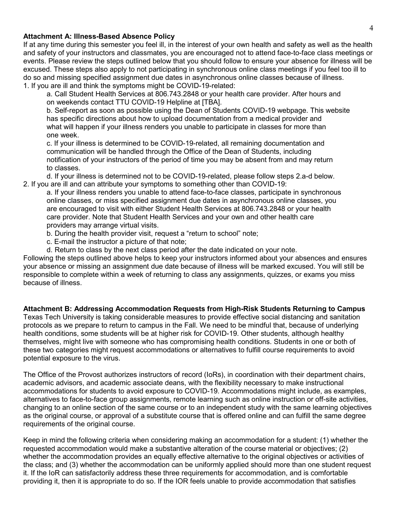### **Attachment A: Illness-Based Absence Policy**

If at any time during this semester you feel ill, in the interest of your own health and safety as well as the health and safety of your instructors and classmates, you are encouraged not to attend face-to-face class meetings or events. Please review the steps outlined below that you should follow to ensure your absence for illness will be excused. These steps also apply to not participating in synchronous online class meetings if you feel too ill to do so and missing specified assignment due dates in asynchronous online classes because of illness. 1. If you are ill and think the symptoms might be COVID-19-related:

a. Call Student Health Services at 806.743.2848 or your health care provider. After hours and on weekends contact TTU COVID-19 Helpline at [TBA].

b. Self-report as soon as possible using the Dean of Students COVID-19 webpage. This website has specific directions about how to upload documentation from a medical provider and what will happen if your illness renders you unable to participate in classes for more than one week.

c. If your illness is determined to be COVID-19-related, all remaining documentation and communication will be handled through the Office of the Dean of Students, including notification of your instructors of the period of time you may be absent from and may return to classes.

d. If your illness is determined not to be COVID-19-related, please follow steps 2.a-d below. 2. If you are ill and can attribute your symptoms to something other than COVID-19:

a. If your illness renders you unable to attend face-to-face classes, participate in synchronous online classes, or miss specified assignment due dates in asynchronous online classes, you are encouraged to visit with either Student Health Services at 806.743.2848 or your health care provider. Note that Student Health Services and your own and other health care providers may arrange virtual visits.

- b. During the health provider visit, request a "return to school" note;
- c. E-mail the instructor a picture of that note;
- d. Return to class by the next class period after the date indicated on your note.

Following the steps outlined above helps to keep your instructors informed about your absences and ensures your absence or missing an assignment due date because of illness will be marked excused. You will still be responsible to complete within a week of returning to class any assignments, quizzes, or exams you miss because of illness.

**Attachment B: Addressing Accommodation Requests from High-Risk Students Returning to Campus** Texas Tech University is taking considerable measures to provide effective social distancing and sanitation protocols as we prepare to return to campus in the Fall. We need to be mindful that, because of underlying health conditions, some students will be at higher risk for COVID-19. Other students, although healthy themselves, might live with someone who has compromising health conditions. Students in one or both of these two categories might request accommodations or alternatives to fulfill course requirements to avoid potential exposure to the virus.

The Office of the Provost authorizes instructors of record (IoRs), in coordination with their department chairs, academic advisors, and academic associate deans, with the flexibility necessary to make instructional accommodations for students to avoid exposure to COVID-19. Accommodations might include, as examples, alternatives to face-to-face group assignments, remote learning such as online instruction or off-site activities, changing to an online section of the same course or to an independent study with the same learning objectives as the original course, or approval of a substitute course that is offered online and can fulfill the same degree requirements of the original course.

Keep in mind the following criteria when considering making an accommodation for a student: (1) whether the requested accommodation would make a substantive alteration of the course material or objectives; (2) whether the accommodation provides an equally effective alternative to the original objectives or activities of the class; and (3) whether the accommodation can be uniformly applied should more than one student request it. If the IoR can satisfactorily address these three requirements for accommodation, and is comfortable providing it, then it is appropriate to do so. If the IOR feels unable to provide accommodation that satisfies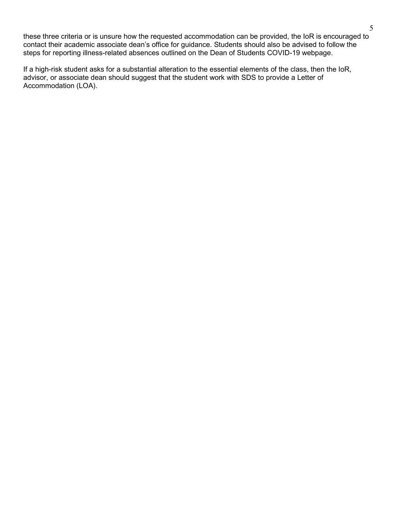these three criteria or is unsure how the requested accommodation can be provided, the IoR is encouraged to contact their academic associate dean's office for guidance. Students should also be advised to follow the steps for reporting illness-related absences outlined on the Dean of Students COVID-19 webpage.

If a high-risk student asks for a substantial alteration to the essential elements of the class, then the IoR, advisor, or associate dean should suggest that the student work with SDS to provide a Letter of Accommodation (LOA).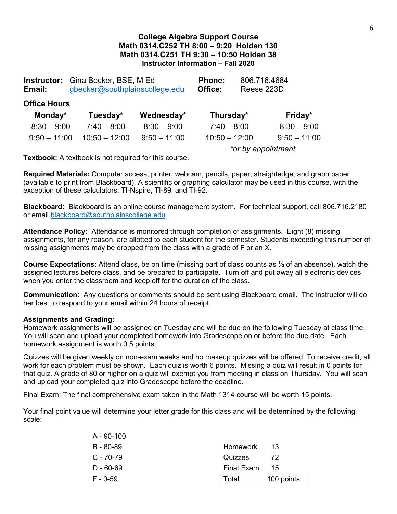# **College Algebra Support Course Math 0314.C252 TH 8:00 – 9:20 Holden 130 Math 0314.C251 TH 9:30 – 10:50 Holden 38 Instructor Information – Fall 2020**

| Email:              | <b>Instructor:</b> Gina Becker, BSE, M Ed<br>gbecker@southplainscollege.edu | Phone:<br>Office: | 806.716.4684<br>Reese 223D |  |                |  |  |
|---------------------|-----------------------------------------------------------------------------|-------------------|----------------------------|--|----------------|--|--|
| <b>Office Hours</b> |                                                                             |                   |                            |  |                |  |  |
| Monday*             | Tuesday*                                                                    | Wednesday*        | Thursday*                  |  | Friday*        |  |  |
| $8:30 - 9:00$       | $7:40 - 8:00$                                                               | $8:30 - 9:00$     | $7:40 - 8:00$              |  | $8:30 - 9:00$  |  |  |
| $9:50 - 11:00$      | $10:50 - 12:00$                                                             | $9:50 - 11:00$    | $10:50 - 12:00$            |  | $9:50 - 11:00$ |  |  |
|                     |                                                                             |                   | *or by appointment         |  |                |  |  |

**Textbook:** A textbook is not required for this course.

**Required Materials:** Computer access, printer, webcam, pencils, paper, straightedge, and graph paper (available to print from Blackboard). A scientific or graphing calculator may be used in this course, with the exception of these calculators: TI-Nspire, TI-89, and TI-92.

**Blackboard:** Blackboard is an online course management system. For technical support, call 806.716.2180 or email [blackboard@southplainscollege.edu](mailto:blackboard@southplainscollege.edu)

**Attendance Policy:** Attendance is monitored through completion of assignments. Eight (8) missing assignments, for any reason, are allotted to each student for the semester. Students exceeding this number of missing assignments may be dropped from the class with a grade of F or an X.

**Course Expectations:** Attend class, be on time (missing part of class counts as ½ of an absence), watch the assigned lectures before class, and be prepared to participate. Turn off and put away all electronic devices when you enter the classroom and keep off for the duration of the class.

**Communication:** Any questions or comments should be sent using Blackboard email. The instructor will do her best to respond to your email within 24 hours of receipt.

### **Assignments and Grading:**

Homework assignments will be assigned on Tuesday and will be due on the following Tuesday at class time. You will scan and upload your completed homework into Gradescope on or before the due date. Each homework assignment is worth 0.5 points.

Quizzes will be given weekly on non-exam weeks and no makeup quizzes will be offered. To receive credit, all work for each problem must be shown. Each quiz is worth 6 points. Missing a quiz will result in 0 points for that quiz. A grade of 80 or higher on a quiz will exempt you from meeting in class on Thursday. You will scan and upload your completed quiz into Gradescope before the deadline.

Final Exam: The final comprehensive exam taken in the Math 1314 course will be worth 15 points.

Your final point value will determine your letter grade for this class and will be determined by the following scale:

| A - 90-100    |            |            |
|---------------|------------|------------|
| B - 80-89     | Homework   | -13        |
| $C - 70 - 79$ | Quizzes    | 72         |
| $D - 60 - 69$ | Final Exam | 15         |
| $F - 0-59$    | Total      | 100 points |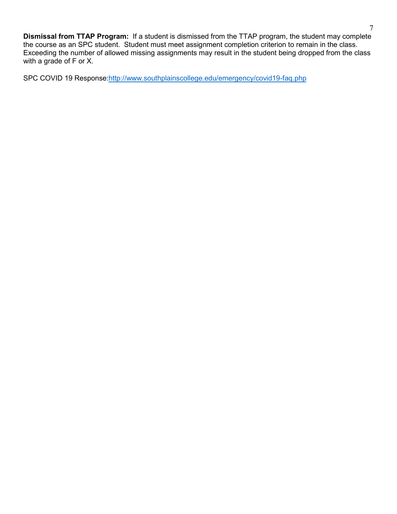**Dismissal from TTAP Program:** If a student is dismissed from the TTAP program, the student may complete the course as an SPC student. Student must meet assignment completion criterion to remain in the class. Exceeding the number of allowed missing assignments may result in the student being dropped from the class with a grade of F or X.

SPC COVID 19 Response[:http://www.southplainscollege.edu/emergency/covid19-faq.php](http://www.southplainscollege.edu/emergency/covid19-faq.php)